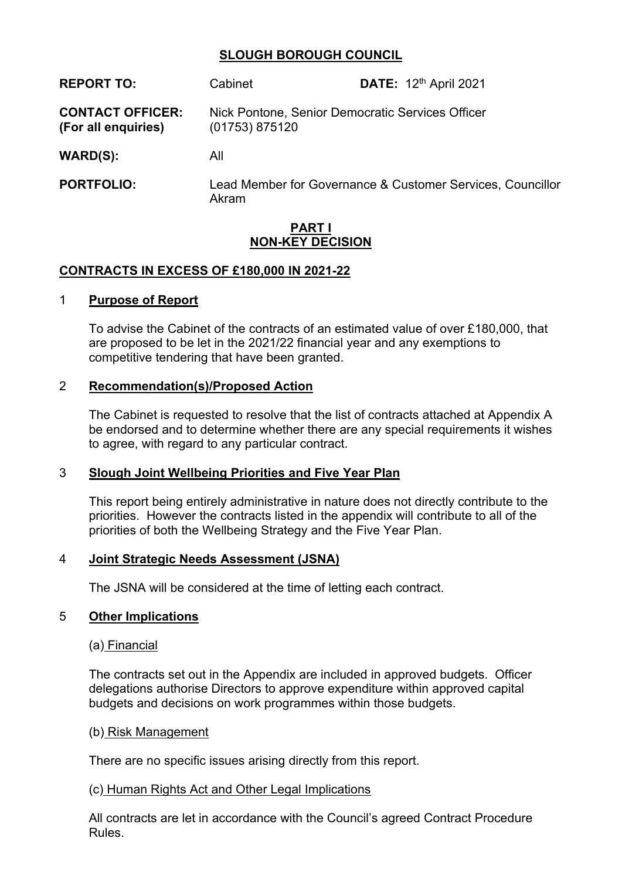## **SLOUGH BOROUGH COUNCIL**

| <b>REPORT TO:</b>                              | Cabinet        | <b>DATE:</b> 12 <sup>th</sup> April 2021                   |
|------------------------------------------------|----------------|------------------------------------------------------------|
| <b>CONTACT OFFICER:</b><br>(For all enquiries) | (01753) 875120 | Nick Pontone, Senior Democratic Services Officer           |
| WARD(S):                                       | All            |                                                            |
| <b>PORTFOLIO:</b>                              | Akram          | Lead Member for Governance & Customer Services, Councillor |

## **PART I NON-KEY DECISION**

### **CONTRACTS IN EXCESS OF £180,000 IN 2021-22**

#### 1 **Purpose of Report**

To advise the Cabinet of the contracts of an estimated value of over £180,000, that are proposed to be let in the 2021/22 financial year and any exemptions to competitive tendering that have been granted.

### 2 **Recommendation(s)/Proposed Action**

The Cabinet is requested to resolve that the list of contracts attached at Appendix A be endorsed and to determine whether there are any special requirements it wishes to agree, with regard to any particular contract.

#### 3 **Slough Joint Wellbeing Priorities and Five Year Plan**

This report being entirely administrative in nature does not directly contribute to the priorities. However the contracts listed in the appendix will contribute to all of the priorities of both the Wellbeing Strategy and the Five Year Plan.

#### 4 **Joint Strategic Needs Assessment (JSNA)**

The JSNA will be considered at the time of letting each contract.

#### 5 **Other Implications**

## (a) Financial

The contracts set out in the Appendix are included in approved budgets. Officer delegations authorise Directors to approve expenditure within approved capital budgets and decisions on work programmes within those budgets.

#### (b) Risk Management

There are no specific issues arising directly from this report.

#### (c) Human Rights Act and Other Legal Implications

All contracts are let in accordance with the Council's agreed Contract Procedure Rules.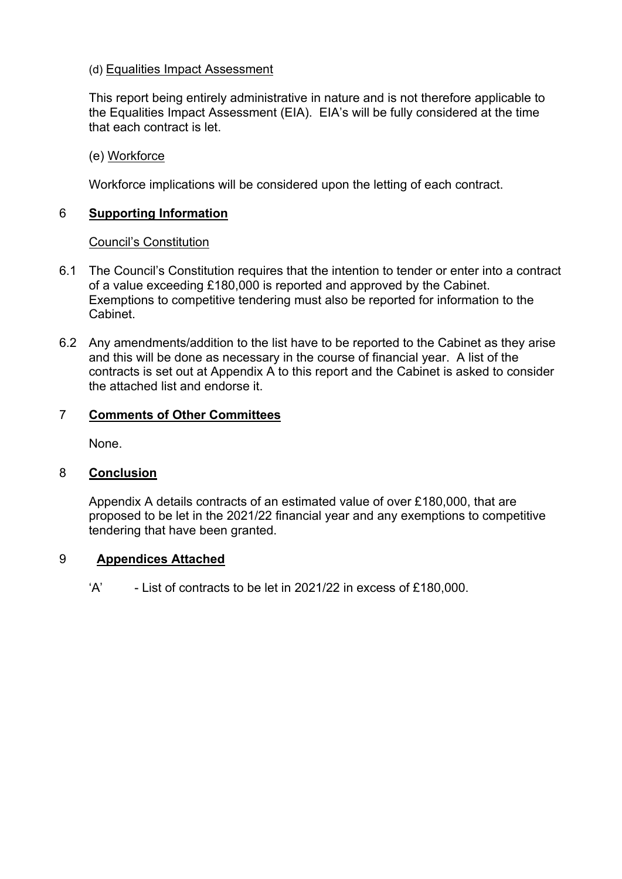# (d) Equalities Impact Assessment

This report being entirely administrative in nature and is not therefore applicable to the Equalities Impact Assessment (EIA). EIA's will be fully considered at the time that each contract is let.

# (e) Workforce

Workforce implications will be considered upon the letting of each contract.

# 6 **Supporting Information**

# Council's Constitution

- 6.1 The Council's Constitution requires that the intention to tender or enter into a contract of a value exceeding £180,000 is reported and approved by the Cabinet. Exemptions to competitive tendering must also be reported for information to the Cabinet.
- 6.2 Any amendments/addition to the list have to be reported to the Cabinet as they arise and this will be done as necessary in the course of financial year. A list of the contracts is set out at Appendix A to this report and the Cabinet is asked to consider the attached list and endorse it.

# 7 **Comments of Other Committees**

None.

## 8 **Conclusion**

Appendix A details contracts of an estimated value of over £180,000, that are proposed to be let in the 2021/22 financial year and any exemptions to competitive tendering that have been granted.

## 9 **Appendices Attached**

 $'A'$  - List of contracts to be let in 2021/22 in excess of £180,000.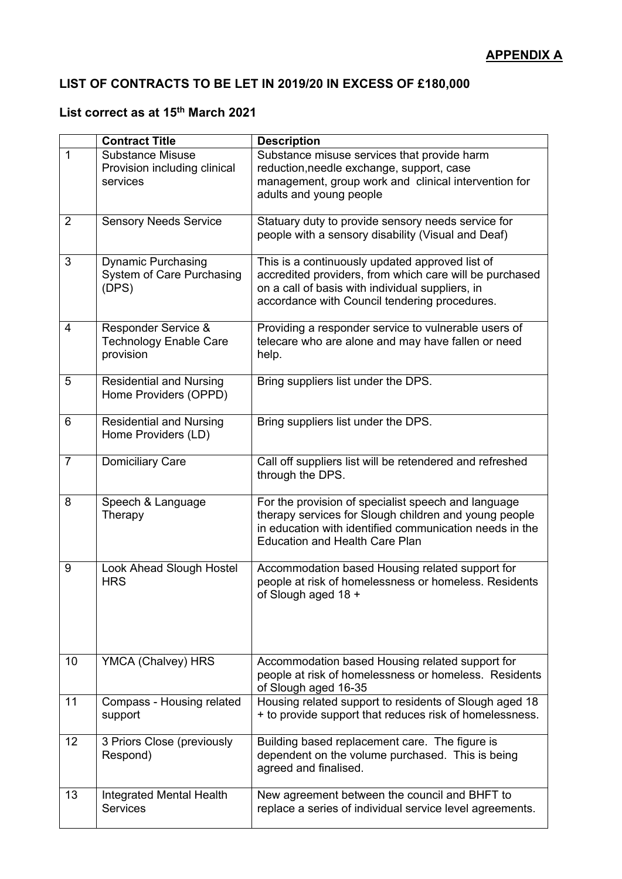# **LIST OF CONTRACTS TO BE LET IN 2019/20 IN EXCESS OF £180,000**

# **List correct as at 15th March 2021**

|                | <b>Contract Title</b>                                               | <b>Description</b>                                                                                                                                                                                               |
|----------------|---------------------------------------------------------------------|------------------------------------------------------------------------------------------------------------------------------------------------------------------------------------------------------------------|
| $\mathbf{1}$   | <b>Substance Misuse</b><br>Provision including clinical<br>services | Substance misuse services that provide harm<br>reduction, needle exchange, support, case<br>management, group work and clinical intervention for<br>adults and young people                                      |
| $\overline{2}$ | <b>Sensory Needs Service</b>                                        | Statuary duty to provide sensory needs service for<br>people with a sensory disability (Visual and Deaf)                                                                                                         |
| 3              | <b>Dynamic Purchasing</b><br>System of Care Purchasing<br>(DPS)     | This is a continuously updated approved list of<br>accredited providers, from which care will be purchased<br>on a call of basis with individual suppliers, in<br>accordance with Council tendering procedures.  |
| 4              | Responder Service &<br><b>Technology Enable Care</b><br>provision   | Providing a responder service to vulnerable users of<br>telecare who are alone and may have fallen or need<br>help.                                                                                              |
| 5              | <b>Residential and Nursing</b><br>Home Providers (OPPD)             | Bring suppliers list under the DPS.                                                                                                                                                                              |
| 6              | <b>Residential and Nursing</b><br>Home Providers (LD)               | Bring suppliers list under the DPS.                                                                                                                                                                              |
| $\overline{7}$ | <b>Domiciliary Care</b>                                             | Call off suppliers list will be retendered and refreshed<br>through the DPS.                                                                                                                                     |
| 8              | Speech & Language<br>Therapy                                        | For the provision of specialist speech and language<br>therapy services for Slough children and young people<br>in education with identified communication needs in the<br><b>Education and Health Care Plan</b> |
| 9              | Look Ahead Slough Hostel<br><b>HRS</b>                              | Accommodation based Housing related support for<br>people at risk of homelessness or homeless. Residents<br>of Slough aged 18 +                                                                                  |
| 10             | YMCA (Chalvey) HRS                                                  | Accommodation based Housing related support for<br>people at risk of homelessness or homeless. Residents<br>of Slough aged 16-35                                                                                 |
| 11             | Compass - Housing related<br>support                                | Housing related support to residents of Slough aged 18<br>+ to provide support that reduces risk of homelessness.                                                                                                |
| 12             | 3 Priors Close (previously<br>Respond)                              | Building based replacement care. The figure is<br>dependent on the volume purchased. This is being<br>agreed and finalised.                                                                                      |
| 13             | Integrated Mental Health<br><b>Services</b>                         | New agreement between the council and BHFT to<br>replace a series of individual service level agreements.                                                                                                        |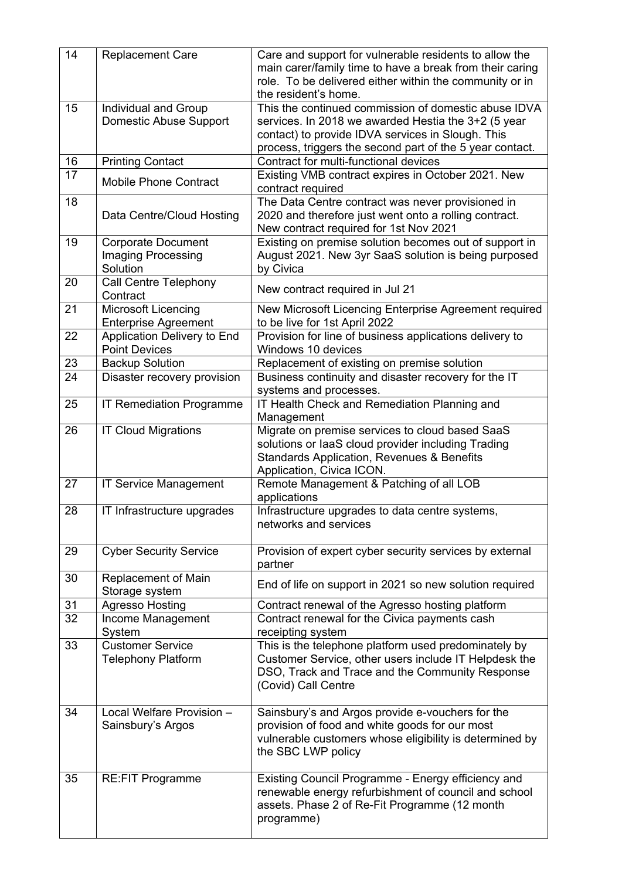| 14 | <b>Replacement Care</b>                                     | Care and support for vulnerable residents to allow the<br>main carer/family time to have a break from their caring<br>role. To be delivered either within the community or in<br>the resident's home.                        |
|----|-------------------------------------------------------------|------------------------------------------------------------------------------------------------------------------------------------------------------------------------------------------------------------------------------|
| 15 | Individual and Group<br>Domestic Abuse Support              | This the continued commission of domestic abuse IDVA<br>services. In 2018 we awarded Hestia the 3+2 (5 year<br>contact) to provide IDVA services in Slough. This<br>process, triggers the second part of the 5 year contact. |
| 16 | <b>Printing Contact</b>                                     | Contract for multi-functional devices                                                                                                                                                                                        |
| 17 | <b>Mobile Phone Contract</b>                                | Existing VMB contract expires in October 2021. New<br>contract required                                                                                                                                                      |
| 18 | Data Centre/Cloud Hosting                                   | The Data Centre contract was never provisioned in<br>2020 and therefore just went onto a rolling contract.<br>New contract required for 1st Nov 2021                                                                         |
| 19 | <b>Corporate Document</b><br>Imaging Processing<br>Solution | Existing on premise solution becomes out of support in<br>August 2021. New 3yr SaaS solution is being purposed<br>by Civica                                                                                                  |
| 20 | Call Centre Telephony<br>Contract                           | New contract required in Jul 21                                                                                                                                                                                              |
| 21 | Microsoft Licencing<br><b>Enterprise Agreement</b>          | New Microsoft Licencing Enterprise Agreement required<br>to be live for 1st April 2022                                                                                                                                       |
| 22 | Application Delivery to End<br><b>Point Devices</b>         | Provision for line of business applications delivery to<br>Windows 10 devices                                                                                                                                                |
| 23 | <b>Backup Solution</b>                                      | Replacement of existing on premise solution                                                                                                                                                                                  |
| 24 | Disaster recovery provision                                 | Business continuity and disaster recovery for the IT<br>systems and processes.                                                                                                                                               |
| 25 | <b>IT Remediation Programme</b>                             | IT Health Check and Remediation Planning and<br>Management                                                                                                                                                                   |
| 26 | <b>IT Cloud Migrations</b>                                  | Migrate on premise services to cloud based SaaS<br>solutions or laaS cloud provider including Trading<br>Standards Application, Revenues & Benefits<br>Application, Civica ICON.                                             |
| 27 | <b>IT Service Management</b>                                | Remote Management & Patching of all LOB<br>applications                                                                                                                                                                      |
| 28 | IT Infrastructure upgrades                                  | Infrastructure upgrades to data centre systems,<br>networks and services                                                                                                                                                     |
| 29 | <b>Cyber Security Service</b>                               | Provision of expert cyber security services by external<br>partner                                                                                                                                                           |
| 30 | Replacement of Main<br>Storage system                       | End of life on support in 2021 so new solution required                                                                                                                                                                      |
| 31 | <b>Agresso Hosting</b>                                      | Contract renewal of the Agresso hosting platform                                                                                                                                                                             |
| 32 | Income Management<br>System                                 | Contract renewal for the Civica payments cash<br>receipting system                                                                                                                                                           |
| 33 | <b>Customer Service</b><br><b>Telephony Platform</b>        | This is the telephone platform used predominately by<br>Customer Service, other users include IT Helpdesk the<br>DSO, Track and Trace and the Community Response<br>(Covid) Call Centre                                      |
| 34 | Local Welfare Provision -<br>Sainsbury's Argos              | Sainsbury's and Argos provide e-vouchers for the<br>provision of food and white goods for our most<br>vulnerable customers whose eligibility is determined by<br>the SBC LWP policy                                          |
| 35 | <b>RE:FIT Programme</b>                                     | Existing Council Programme - Energy efficiency and<br>renewable energy refurbishment of council and school<br>assets. Phase 2 of Re-Fit Programme (12 month<br>programme)                                                    |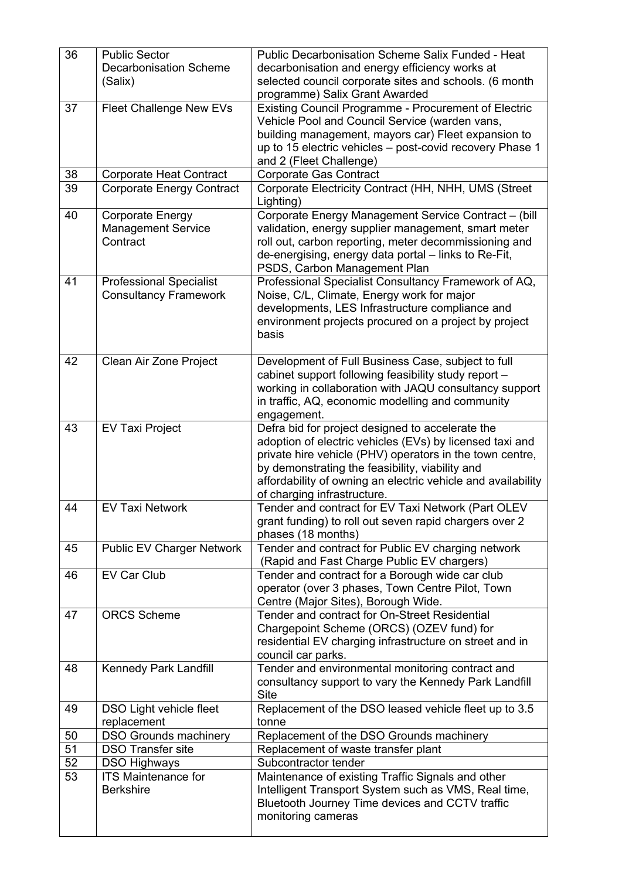| 36 | <b>Public Sector</b><br><b>Decarbonisation Scheme</b><br>(Salix) | Public Decarbonisation Scheme Salix Funded - Heat<br>decarbonisation and energy efficiency works at<br>selected council corporate sites and schools. (6 month                                                                                                                                                              |
|----|------------------------------------------------------------------|----------------------------------------------------------------------------------------------------------------------------------------------------------------------------------------------------------------------------------------------------------------------------------------------------------------------------|
|    |                                                                  | programme) Salix Grant Awarded                                                                                                                                                                                                                                                                                             |
| 37 | <b>Fleet Challenge New EVs</b>                                   | <b>Existing Council Programme - Procurement of Electric</b><br>Vehicle Pool and Council Service (warden vans,<br>building management, mayors car) Fleet expansion to<br>up to 15 electric vehicles - post-covid recovery Phase 1<br>and 2 (Fleet Challenge)                                                                |
| 38 | <b>Corporate Heat Contract</b>                                   | <b>Corporate Gas Contract</b>                                                                                                                                                                                                                                                                                              |
| 39 | <b>Corporate Energy Contract</b>                                 | Corporate Electricity Contract (HH, NHH, UMS (Street<br>Lighting)                                                                                                                                                                                                                                                          |
| 40 | <b>Corporate Energy</b><br><b>Management Service</b><br>Contract | Corporate Energy Management Service Contract - (bill<br>validation, energy supplier management, smart meter<br>roll out, carbon reporting, meter decommissioning and<br>de-energising, energy data portal - links to Re-Fit,<br>PSDS, Carbon Management Plan                                                               |
| 41 | <b>Professional Specialist</b><br><b>Consultancy Framework</b>   | Professional Specialist Consultancy Framework of AQ,<br>Noise, C/L, Climate, Energy work for major<br>developments, LES Infrastructure compliance and<br>environment projects procured on a project by project<br>basis                                                                                                    |
| 42 | Clean Air Zone Project                                           | Development of Full Business Case, subject to full<br>cabinet support following feasibility study report -<br>working in collaboration with JAQU consultancy support<br>in traffic, AQ, economic modelling and community<br>engagement.                                                                                    |
| 43 | <b>EV Taxi Project</b>                                           | Defra bid for project designed to accelerate the<br>adoption of electric vehicles (EVs) by licensed taxi and<br>private hire vehicle (PHV) operators in the town centre,<br>by demonstrating the feasibility, viability and<br>affordability of owning an electric vehicle and availability<br>of charging infrastructure. |
| 44 | <b>EV Taxi Network</b>                                           | Tender and contract for EV Taxi Network (Part OLEV<br>grant funding) to roll out seven rapid chargers over 2<br>phases (18 months)                                                                                                                                                                                         |
| 45 | <b>Public EV Charger Network</b>                                 | Tender and contract for Public EV charging network<br>(Rapid and Fast Charge Public EV chargers)                                                                                                                                                                                                                           |
| 46 | <b>EV Car Club</b>                                               | Tender and contract for a Borough wide car club<br>operator (over 3 phases, Town Centre Pilot, Town<br>Centre (Major Sites), Borough Wide.                                                                                                                                                                                 |
| 47 | <b>ORCS Scheme</b>                                               | Tender and contract for On-Street Residential<br>Chargepoint Scheme (ORCS) (OZEV fund) for<br>residential EV charging infrastructure on street and in<br>council car parks.                                                                                                                                                |
| 48 | Kennedy Park Landfill                                            | Tender and environmental monitoring contract and<br>consultancy support to vary the Kennedy Park Landfill<br><b>Site</b>                                                                                                                                                                                                   |
| 49 | DSO Light vehicle fleet<br>replacement                           | Replacement of the DSO leased vehicle fleet up to 3.5<br>tonne                                                                                                                                                                                                                                                             |
| 50 | <b>DSO Grounds machinery</b>                                     | Replacement of the DSO Grounds machinery                                                                                                                                                                                                                                                                                   |
| 51 | <b>DSO Transfer site</b>                                         | Replacement of waste transfer plant                                                                                                                                                                                                                                                                                        |
| 52 | <b>DSO Highways</b>                                              | Subcontractor tender                                                                                                                                                                                                                                                                                                       |
| 53 | <b>ITS Maintenance for</b><br><b>Berkshire</b>                   | Maintenance of existing Traffic Signals and other<br>Intelligent Transport System such as VMS, Real time,<br>Bluetooth Journey Time devices and CCTV traffic<br>monitoring cameras                                                                                                                                         |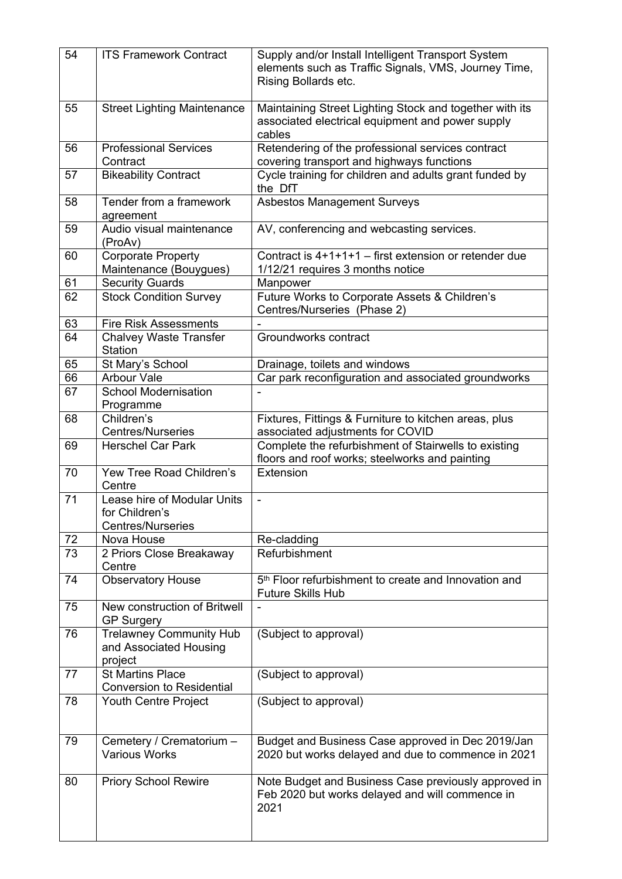| 54 | <b>ITS Framework Contract</b>                                             | Supply and/or Install Intelligent Transport System<br>elements such as Traffic Signals, VMS, Journey Time,<br>Rising Bollards etc. |
|----|---------------------------------------------------------------------------|------------------------------------------------------------------------------------------------------------------------------------|
| 55 | <b>Street Lighting Maintenance</b>                                        | Maintaining Street Lighting Stock and together with its<br>associated electrical equipment and power supply<br>cables              |
| 56 | <b>Professional Services</b><br>Contract                                  | Retendering of the professional services contract<br>covering transport and highways functions                                     |
| 57 | <b>Bikeability Contract</b>                                               | Cycle training for children and adults grant funded by<br>the DfT                                                                  |
| 58 | Tender from a framework<br>agreement                                      | <b>Asbestos Management Surveys</b>                                                                                                 |
| 59 | Audio visual maintenance<br>(ProAv)                                       | AV, conferencing and webcasting services.                                                                                          |
| 60 | <b>Corporate Property</b><br>Maintenance (Bouygues)                       | Contract is $4+1+1+1$ – first extension or retender due<br>1/12/21 requires 3 months notice                                        |
| 61 | <b>Security Guards</b>                                                    | Manpower                                                                                                                           |
| 62 | <b>Stock Condition Survey</b>                                             | Future Works to Corporate Assets & Children's                                                                                      |
|    |                                                                           | Centres/Nurseries (Phase 2)                                                                                                        |
| 63 | <b>Fire Risk Assessments</b>                                              |                                                                                                                                    |
| 64 | <b>Chalvey Waste Transfer</b><br><b>Station</b>                           | Groundworks contract                                                                                                               |
| 65 | St Mary's School                                                          | Drainage, toilets and windows                                                                                                      |
| 66 | <b>Arbour Vale</b>                                                        | Car park reconfiguration and associated groundworks                                                                                |
| 67 | <b>School Modernisation</b><br>Programme                                  |                                                                                                                                    |
| 68 | Children's<br><b>Centres/Nurseries</b>                                    | Fixtures, Fittings & Furniture to kitchen areas, plus<br>associated adjustments for COVID                                          |
| 69 | <b>Herschel Car Park</b>                                                  | Complete the refurbishment of Stairwells to existing<br>floors and roof works; steelworks and painting                             |
| 70 | Yew Tree Road Children's<br>Centre                                        | Extension                                                                                                                          |
| 71 | Lease hire of Modular Units<br>for Children's<br><b>Centres/Nurseries</b> | $\blacksquare$                                                                                                                     |
| 72 | Nova House                                                                | Re-cladding                                                                                                                        |
| 73 | 2 Priors Close Breakaway<br>Centre                                        | Refurbishment                                                                                                                      |
| 74 | <b>Observatory House</b>                                                  | 5 <sup>th</sup> Floor refurbishment to create and Innovation and<br>Future Skills Hub                                              |
| 75 | New construction of Britwell<br><b>GP Surgery</b>                         |                                                                                                                                    |
| 76 | <b>Trelawney Community Hub</b><br>and Associated Housing<br>project       | (Subject to approval)                                                                                                              |
| 77 | <b>St Martins Place</b><br><b>Conversion to Residential</b>               | (Subject to approval)                                                                                                              |
| 78 | Youth Centre Project                                                      | (Subject to approval)                                                                                                              |
| 79 | Cemetery / Crematorium -<br><b>Various Works</b>                          | Budget and Business Case approved in Dec 2019/Jan<br>2020 but works delayed and due to commence in 2021                            |
| 80 | <b>Priory School Rewire</b>                                               | Note Budget and Business Case previously approved in<br>Feb 2020 but works delayed and will commence in<br>2021                    |